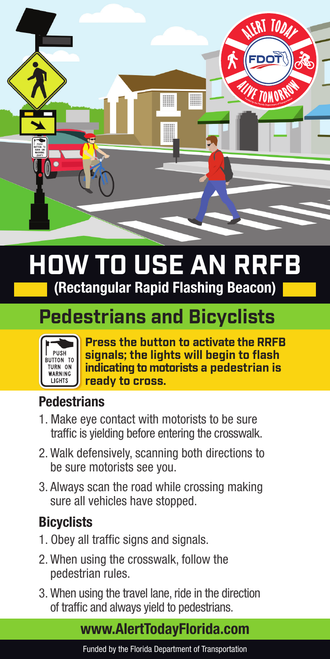

# **HOW TO USE AN RRFB** (Rectangular Rapid Flashing Beacon)

### **Pedestrians and Bicyclists**



**Press the button to activate the RRFB signals; the lights will begin to flash indicating to motorists a pedestrian is ready to cross.** 

#### **Pedestrians**

- 1. Make eye contact with motorists to be sure traffic is yielding before entering the crosswalk.
- 2. Walk defensively, scanning both directions to be sure motorists see you.
- 3. Always scan the road while crossing making sure all vehicles have stopped.

### **Bicyclists**

- 1. Obey all traffic signs and signals.
- 2. When using the crosswalk, follow the pedestrian rules.
- 3. When using the travel lane, ride in the direction of traffic and always yield to pedestrians.

#### www.AlertTodayFlorida.com

Funded by the Florida Department of Transportation